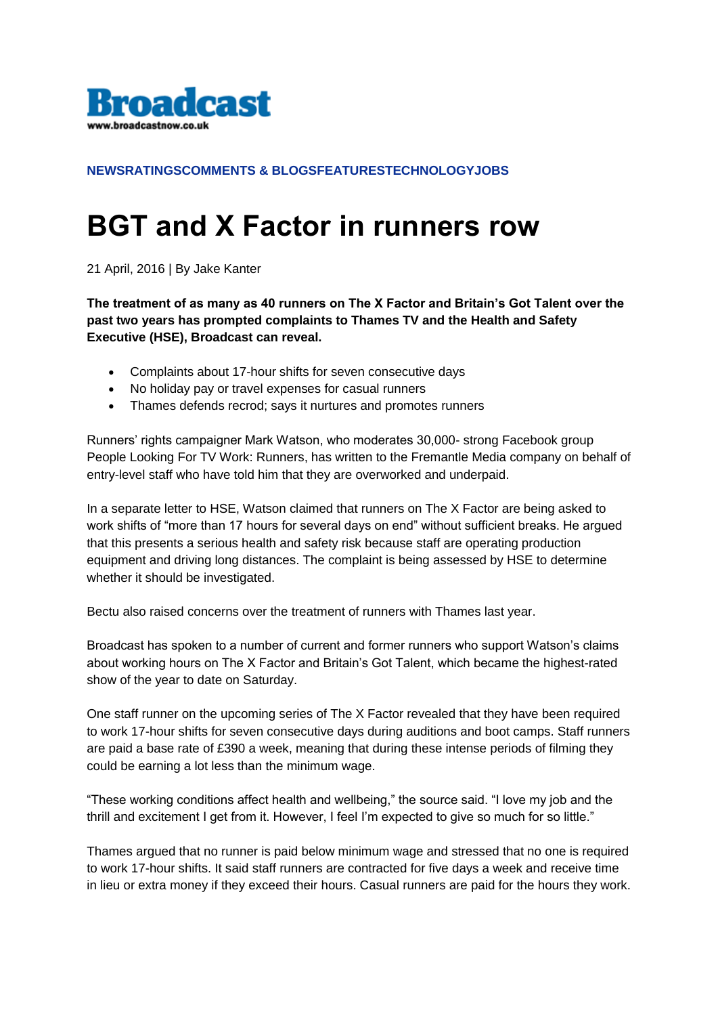

## **[NEWS](http://m.broadcastnow.co.uk/Section/2032)[RATINGS](http://m.broadcastnow.co.uk/Section/2033)[COMMENTS & BLOGS](http://m.broadcastnow.co.uk/Section/2034)[FEATURES](http://m.broadcastnow.co.uk/Section/2035)[TECHNOLOGY](http://m.broadcastnow.co.uk/Section/2036)[JOBS](http://m.broadcastjobs.co.uk/)**

## **BGT and X Factor in runners row**

21 April, 2016 | By Jake Kanter

**The treatment of as many as 40 runners on The X Factor and Britain's Got Talent over the past two years has prompted complaints to Thames TV and the Health and Safety Executive (HSE), Broadcast can reveal.**

- Complaints about 17-hour shifts for seven consecutive days
- No holiday pay or travel expenses for casual runners
- Thames defends recrod; says it nurtures and promotes runners

Runners' rights campaigner Mark Watson, who moderates 30,000- strong Facebook group People Looking For TV Work: Runners, has written to the Fremantle Media company on behalf of entry-level staff who have told him that they are overworked and underpaid.

In a separate letter to HSE, Watson claimed that runners on The X Factor are being asked to work shifts of "more than 17 hours for several days on end" without sufficient breaks. He argued that this presents a serious health and safety risk because staff are operating production equipment and driving long distances. The complaint is being assessed by HSE to determine whether it should be investigated.

Bectu also raised concerns over the treatment of runners with Thames last year.

Broadcast has spoken to a number of current and former runners who support Watson's claims about working hours on The X Factor and Britain's Got Talent, which became the highest-rated show of the year to date on Saturday.

One staff runner on the upcoming series of The X Factor revealed that they have been required to work 17-hour shifts for seven consecutive days during auditions and boot camps. Staff runners are paid a base rate of £390 a week, meaning that during these intense periods of filming they could be earning a lot less than the minimum wage.

"These working conditions affect health and wellbeing," the source said. "I love my job and the thrill and excitement I get from it. However, I feel I'm expected to give so much for so little."

Thames argued that no runner is paid below minimum wage and stressed that no one is required to work 17-hour shifts. It said staff runners are contracted for five days a week and receive time in lieu or extra money if they exceed their hours. Casual runners are paid for the hours they work.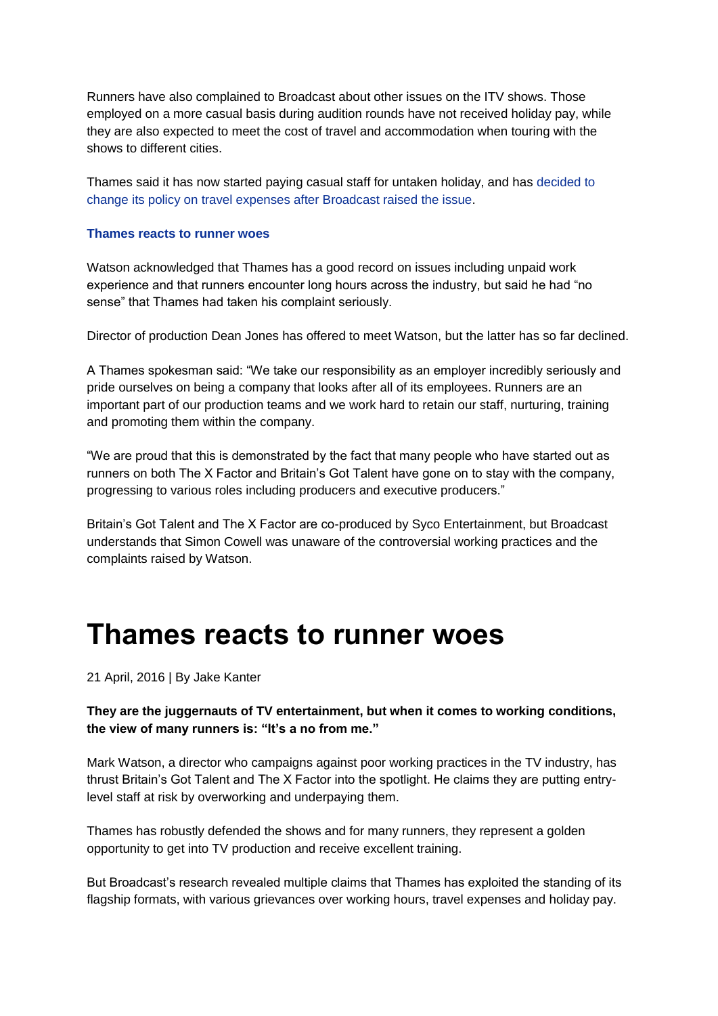Runners have also complained to Broadcast about other issues on the ITV shows. Those employed on a more casual basis during audition rounds have not received holiday pay, while they are also expected to meet the cost of travel and accommodation when touring with the shows to different cities.

Thames said it has now started paying casual staff for untaken holiday, and has [decided to](http://m.broadcastnow.co.uk/5102860.article)  [change its policy on travel expenses after Broadcast raised the issue.](http://m.broadcastnow.co.uk/5102860.article)

## **[Thames reacts to runner woes](http://m.broadcastnow.co.uk/5102860.article)**

Watson acknowledged that Thames has a good record on issues including unpaid work experience and that runners encounter long hours across the industry, but said he had "no sense" that Thames had taken his complaint seriously.

Director of production Dean Jones has offered to meet Watson, but the latter has so far declined.

A Thames spokesman said: "We take our responsibility as an employer incredibly seriously and pride ourselves on being a company that looks after all of its employees. Runners are an important part of our production teams and we work hard to retain our staff, nurturing, training and promoting them within the company.

"We are proud that this is demonstrated by the fact that many people who have started out as runners on both The X Factor and Britain's Got Talent have gone on to stay with the company, progressing to various roles including producers and executive producers."

Britain's Got Talent and The X Factor are co-produced by Syco Entertainment, but Broadcast understands that Simon Cowell was unaware of the controversial working practices and the complaints raised by Watson.

## **Thames reacts to runner woes**

21 April, 2016 | By Jake Kanter

**They are the juggernauts of TV entertainment, but when it comes to working conditions, the view of many runners is: "It's a no from me."**

Mark Watson, a director who campaigns against poor working practices in the TV industry, has thrust Britain's Got Talent and The X Factor into the spotlight. He claims they are putting entrylevel staff at risk by overworking and underpaying them.

Thames has robustly defended the shows and for many runners, they represent a golden opportunity to get into TV production and receive excellent training.

But Broadcast's research revealed multiple claims that Thames has exploited the standing of its flagship formats, with various grievances over working hours, travel expenses and holiday pay.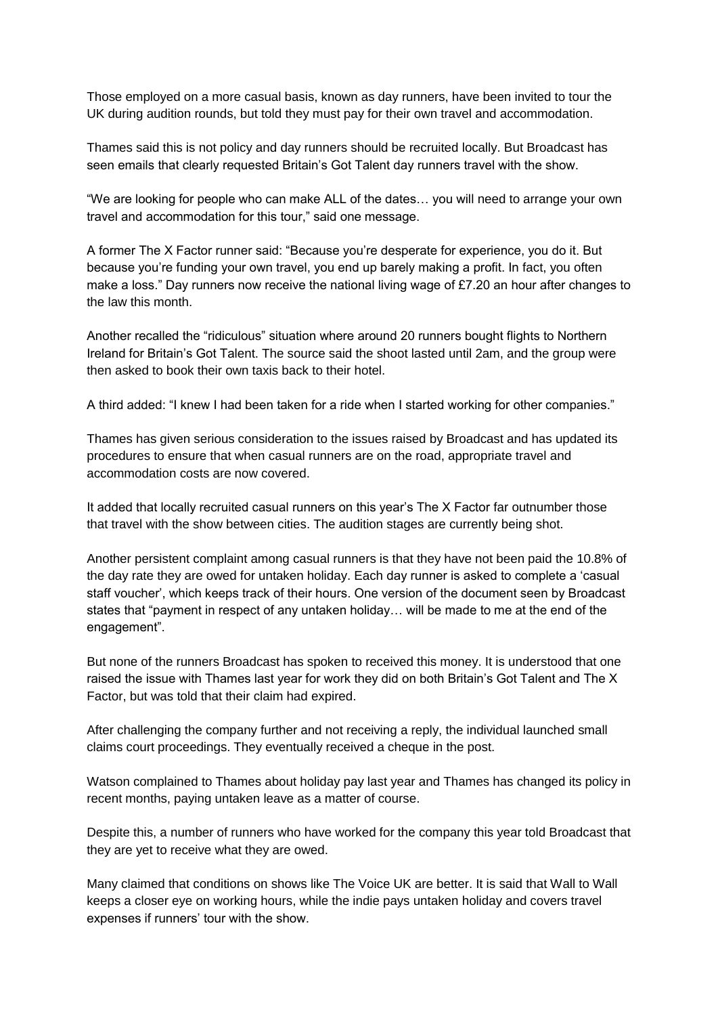Those employed on a more casual basis, known as day runners, have been invited to tour the UK during audition rounds, but told they must pay for their own travel and accommodation.

Thames said this is not policy and day runners should be recruited locally. But Broadcast has seen emails that clearly requested Britain's Got Talent day runners travel with the show.

"We are looking for people who can make ALL of the dates… you will need to arrange your own travel and accommodation for this tour," said one message.

A former The X Factor runner said: "Because you're desperate for experience, you do it. But because you're funding your own travel, you end up barely making a profit. In fact, you often make a loss." Day runners now receive the national living wage of £7.20 an hour after changes to the law this month.

Another recalled the "ridiculous" situation where around 20 runners bought flights to Northern Ireland for Britain's Got Talent. The source said the shoot lasted until 2am, and the group were then asked to book their own taxis back to their hotel.

A third added: "I knew I had been taken for a ride when I started working for other companies."

Thames has given serious consideration to the issues raised by Broadcast and has updated its procedures to ensure that when casual runners are on the road, appropriate travel and accommodation costs are now covered.

It added that locally recruited casual runners on this year's The X Factor far outnumber those that travel with the show between cities. The audition stages are currently being shot.

Another persistent complaint among casual runners is that they have not been paid the 10.8% of the day rate they are owed for untaken holiday. Each day runner is asked to complete a 'casual staff voucher', which keeps track of their hours. One version of the document seen by Broadcast states that "payment in respect of any untaken holiday… will be made to me at the end of the engagement".

But none of the runners Broadcast has spoken to received this money. It is understood that one raised the issue with Thames last year for work they did on both Britain's Got Talent and The X Factor, but was told that their claim had expired.

After challenging the company further and not receiving a reply, the individual launched small claims court proceedings. They eventually received a cheque in the post.

Watson complained to Thames about holiday pay last year and Thames has changed its policy in recent months, paying untaken leave as a matter of course.

Despite this, a number of runners who have worked for the company this year told Broadcast that they are yet to receive what they are owed.

Many claimed that conditions on shows like The Voice UK are better. It is said that Wall to Wall keeps a closer eye on working hours, while the indie pays untaken holiday and covers travel expenses if runners' tour with the show.